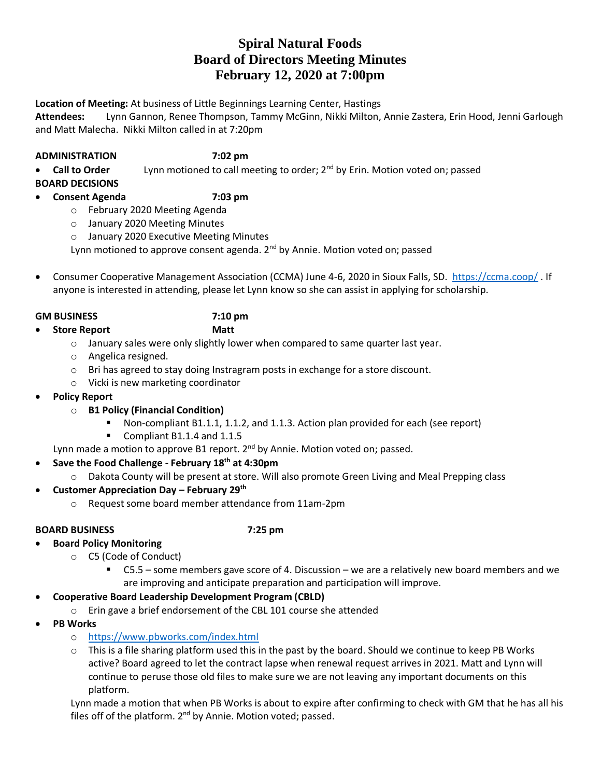# **Spiral Natural Foods Board of Directors Meeting Minutes February 12, 2020 at 7:00pm**

**Location of Meeting:** At business of Little Beginnings Learning Center, Hastings

**Attendees:** Lynn Gannon, Renee Thompson, Tammy McGinn, Nikki Milton, Annie Zastera, Erin Hood, Jenni Garlough and Matt Malecha. Nikki Milton called in at 7:20pm

## **ADMINISTRATION 7:02 pm**

• **Call to Order** Lynn motioned to call meeting to order; 2nd by Erin. Motion voted on; passed

**BOARD DECISIONS**

# • **Consent Agenda 7:03 pm**

- o February 2020 Meeting Agenda
- o January 2020 Meeting Minutes
- o January 2020 Executive Meeting Minutes

Lynn motioned to approve consent agenda. 2<sup>nd</sup> by Annie. Motion voted on; passed

• Consumer Cooperative Management Association (CCMA) June 4-6, 2020 in Sioux Falls, SD. <https://ccma.coop/> . If anyone is interested in attending, please let Lynn know so she can assist in applying for scholarship.

## **GM BUSINESS 7:10 pm**

• **Store Report Matt**

- $\circ$  January sales were only slightly lower when compared to same quarter last year.
- o Angelica resigned.
- o Bri has agreed to stay doing Instragram posts in exchange for a store discount.
- o Vicki is new marketing coordinator
- **Policy Report**
	- o **B1 Policy (Financial Condition)**
		- Non-compliant B1.1.1, 1.1.2, and 1.1.3. Action plan provided for each (see report)
		- Compliant B1.1.4 and 1.1.5

Lynn made a motion to approve B1 report.  $2^{nd}$  by Annie. Motion voted on; passed.

- **Save the Food Challenge - February 18th at 4:30pm**
	- o Dakota County will be present at store. Will also promote Green Living and Meal Prepping class
- **Customer Appreciation Day – February 29th**
	- o Request some board member attendance from 11am-2pm

## **BOARD BUSINESS 7:25 pm**

- **Board Policy Monitoring** 
	- o C5 (Code of Conduct)
		- $\blacksquare$  C5.5 some members gave score of 4. Discussion we are a relatively new board members and we are improving and anticipate preparation and participation will improve.

# • **Cooperative Board Leadership Development Program (CBLD)**

- o Erin gave a brief endorsement of the CBL 101 course she attended
- **PB Works**
	- o <https://www.pbworks.com/index.html>
	- $\circ$  This is a file sharing platform used this in the past by the board. Should we continue to keep PB Works active? Board agreed to let the contract lapse when renewal request arrives in 2021. Matt and Lynn will continue to peruse those old files to make sure we are not leaving any important documents on this platform.

Lynn made a motion that when PB Works is about to expire after confirming to check with GM that he has all his files off of the platform.  $2^{nd}$  by Annie. Motion voted; passed.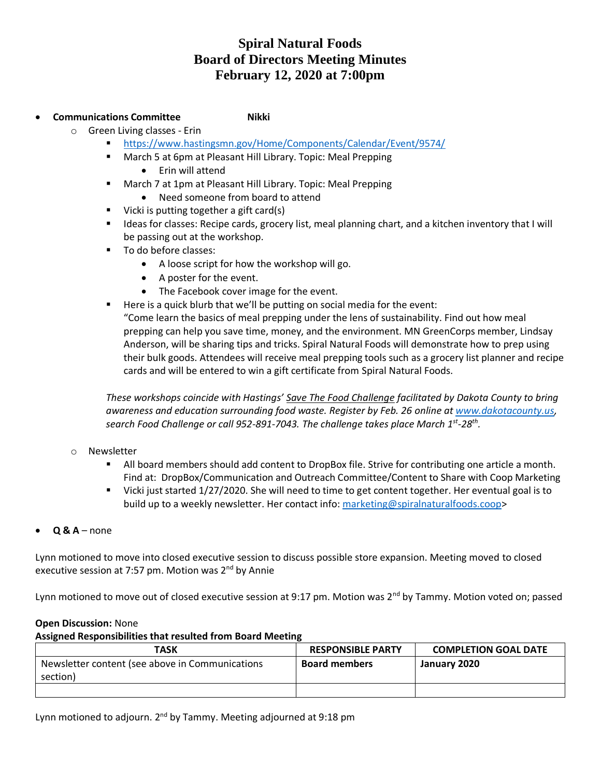# **Spiral Natural Foods Board of Directors Meeting Minutes February 12, 2020 at 7:00pm**

## **Communications Committee Mikki**

- o Green Living classes Erin
	- <https://www.hastingsmn.gov/Home/Components/Calendar/Event/9574/>
	- March 5 at 6pm at Pleasant Hill Library. Topic: Meal Prepping
		- Erin will attend
	- March 7 at 1pm at Pleasant Hill Library. Topic: Meal Prepping
		- Need someone from board to attend
	- Vicki is putting together a gift card(s)
	- Ideas for classes: Recipe cards, grocery list, meal planning chart, and a kitchen inventory that I will be passing out at the workshop.
	- To do before classes:
		- A loose script for how the workshop will go.
		- A poster for the event.
		- The Facebook cover image for the event.
	- Here is a quick blurb that we'll be putting on social media for the event:

"Come learn the basics of meal prepping under the lens of sustainability. Find out how meal prepping can help you save time, money, and the environment. MN GreenCorps member, Lindsay Anderson, will be sharing tips and tricks. Spiral Natural Foods will demonstrate how to prep using their bulk goods. Attendees will receive meal prepping tools such as a grocery list planner and recipe cards and will be entered to win a gift certificate from Spiral Natural Foods.

*These workshops coincide with Hastings' Save The Food Challenge facilitated by Dakota County to bring awareness and education surrounding food waste. Register by Feb. 26 online at [www.dakotacounty.us,](https://www.surveymonkey.com/r/DCFoodSignup) search Food Challenge or call 952-891-7043. The challenge takes place March 1st -28th .*

- o Newsletter
	- All board members should add content to DropBox file. Strive for contributing one article a month. Find at: DropBox/Communication and Outreach Committee/Content to Share with Coop Marketing
	- Vicki just started 1/27/2020. She will need to time to get content together. Her eventual goal is to build up to a weekly newsletter. Her contact info: [marketing@spiralnaturalfoods.coop>](mailto:marketing@spiralnaturalfoods.coop)
- **Q & A**  none

Lynn motioned to move into closed executive session to discuss possible store expansion. Meeting moved to closed executive session at 7:57 pm. Motion was  $2<sup>nd</sup>$  by Annie

Lynn motioned to move out of closed executive session at 9:17 pm. Motion was 2<sup>nd</sup> by Tammy. Motion voted on; passed

## **Open Discussion:** None

### **Assigned Responsibilities that resulted from Board Meeting**

| TASK                                            | <b>RESPONSIBLE PARTY</b> | <b>COMPLETION GOAL DATE</b> |
|-------------------------------------------------|--------------------------|-----------------------------|
| Newsletter content (see above in Communications | <b>Board members</b>     | January 2020                |
| section)                                        |                          |                             |
|                                                 |                          |                             |